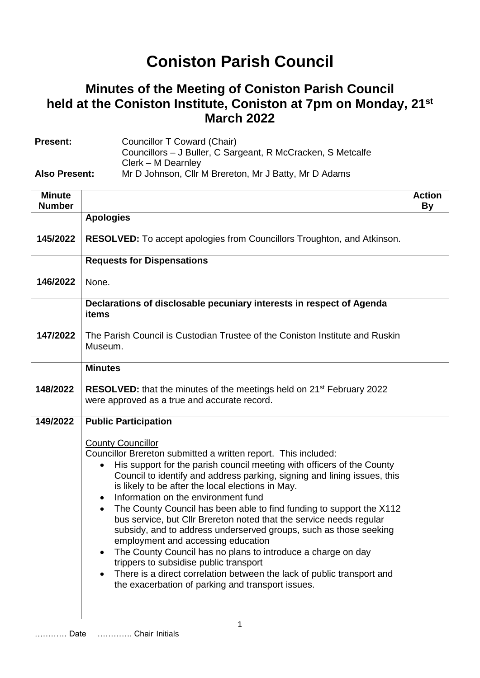## **Coniston Parish Council**

## **Minutes of the Meeting of Coniston Parish Council held at the Coniston Institute, Coniston at 7pm on Monday, 21st March 2022**

| <b>Present:</b>      | Councillor T Coward (Chair)                                 |
|----------------------|-------------------------------------------------------------|
|                      | Councillors – J Buller, C Sargeant, R McCracken, S Metcalfe |
|                      | Clerk – M Dearnley                                          |
| <b>Also Present:</b> | Mr D Johnson, Cllr M Brereton, Mr J Batty, Mr D Adams       |

| <b>Minute</b><br><b>Number</b> |                                                                                                                                                                                                                                                                                                                                                                                                                                                                                                                                                                                                                                                                                                                                                                                                                                                                                        | <b>Action</b><br>By |
|--------------------------------|----------------------------------------------------------------------------------------------------------------------------------------------------------------------------------------------------------------------------------------------------------------------------------------------------------------------------------------------------------------------------------------------------------------------------------------------------------------------------------------------------------------------------------------------------------------------------------------------------------------------------------------------------------------------------------------------------------------------------------------------------------------------------------------------------------------------------------------------------------------------------------------|---------------------|
|                                | <b>Apologies</b>                                                                                                                                                                                                                                                                                                                                                                                                                                                                                                                                                                                                                                                                                                                                                                                                                                                                       |                     |
| 145/2022                       | <b>RESOLVED:</b> To accept apologies from Councillors Troughton, and Atkinson.                                                                                                                                                                                                                                                                                                                                                                                                                                                                                                                                                                                                                                                                                                                                                                                                         |                     |
|                                | <b>Requests for Dispensations</b>                                                                                                                                                                                                                                                                                                                                                                                                                                                                                                                                                                                                                                                                                                                                                                                                                                                      |                     |
| 146/2022                       | None.                                                                                                                                                                                                                                                                                                                                                                                                                                                                                                                                                                                                                                                                                                                                                                                                                                                                                  |                     |
|                                | Declarations of disclosable pecuniary interests in respect of Agenda<br>items                                                                                                                                                                                                                                                                                                                                                                                                                                                                                                                                                                                                                                                                                                                                                                                                          |                     |
| 147/2022                       | The Parish Council is Custodian Trustee of the Coniston Institute and Ruskin<br>Museum.                                                                                                                                                                                                                                                                                                                                                                                                                                                                                                                                                                                                                                                                                                                                                                                                |                     |
|                                | <b>Minutes</b>                                                                                                                                                                                                                                                                                                                                                                                                                                                                                                                                                                                                                                                                                                                                                                                                                                                                         |                     |
| 148/2022                       | <b>RESOLVED:</b> that the minutes of the meetings held on 21 <sup>st</sup> February 2022<br>were approved as a true and accurate record.                                                                                                                                                                                                                                                                                                                                                                                                                                                                                                                                                                                                                                                                                                                                               |                     |
| 149/2022                       | <b>Public Participation</b>                                                                                                                                                                                                                                                                                                                                                                                                                                                                                                                                                                                                                                                                                                                                                                                                                                                            |                     |
|                                | <b>County Councillor</b><br>Councillor Brereton submitted a written report. This included:<br>His support for the parish council meeting with officers of the County<br>$\bullet$<br>Council to identify and address parking, signing and lining issues, this<br>is likely to be after the local elections in May.<br>Information on the environment fund<br>$\bullet$<br>The County Council has been able to find funding to support the X112<br>$\bullet$<br>bus service, but Cllr Brereton noted that the service needs regular<br>subsidy, and to address underserved groups, such as those seeking<br>employment and accessing education<br>The County Council has no plans to introduce a charge on day<br>trippers to subsidise public transport<br>There is a direct correlation between the lack of public transport and<br>the exacerbation of parking and transport issues. |                     |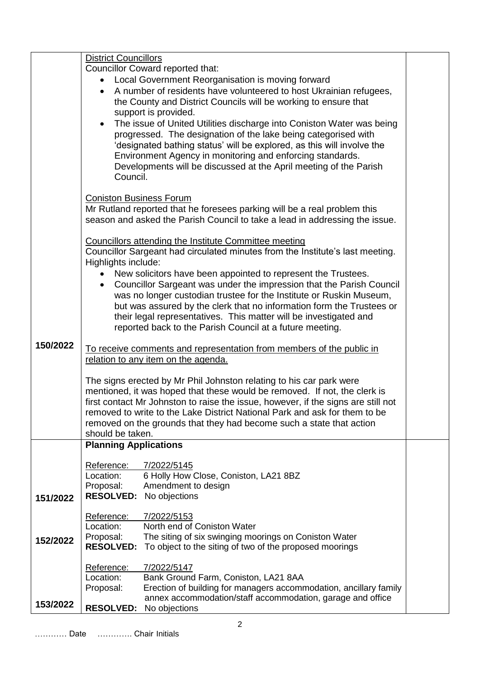|          | <b>District Councillors</b>                                                                                |                                                                                   |  |  |
|----------|------------------------------------------------------------------------------------------------------------|-----------------------------------------------------------------------------------|--|--|
|          | Councillor Coward reported that:                                                                           |                                                                                   |  |  |
|          | Local Government Reorganisation is moving forward                                                          |                                                                                   |  |  |
|          | A number of residents have volunteered to host Ukrainian refugees,                                         |                                                                                   |  |  |
|          | the County and District Councils will be working to ensure that                                            |                                                                                   |  |  |
|          | support is provided.                                                                                       |                                                                                   |  |  |
|          |                                                                                                            |                                                                                   |  |  |
|          | $\bullet$                                                                                                  | The issue of United Utilities discharge into Coniston Water was being             |  |  |
|          |                                                                                                            | progressed. The designation of the lake being categorised with                    |  |  |
|          |                                                                                                            | 'designated bathing status' will be explored, as this will involve the            |  |  |
|          |                                                                                                            | Environment Agency in monitoring and enforcing standards.                         |  |  |
|          |                                                                                                            | Developments will be discussed at the April meeting of the Parish                 |  |  |
|          | Council.                                                                                                   |                                                                                   |  |  |
|          |                                                                                                            |                                                                                   |  |  |
|          |                                                                                                            |                                                                                   |  |  |
|          | <b>Coniston Business Forum</b><br>Mr Rutland reported that he foresees parking will be a real problem this |                                                                                   |  |  |
|          |                                                                                                            | season and asked the Parish Council to take a lead in addressing the issue.       |  |  |
|          |                                                                                                            |                                                                                   |  |  |
|          |                                                                                                            |                                                                                   |  |  |
|          |                                                                                                            | Councillors attending the Institute Committee meeting                             |  |  |
|          |                                                                                                            | Councillor Sargeant had circulated minutes from the Institute's last meeting.     |  |  |
|          | Highlights include:                                                                                        |                                                                                   |  |  |
|          |                                                                                                            | New solicitors have been appointed to represent the Trustees.                     |  |  |
|          | $\bullet$                                                                                                  | Councillor Sargeant was under the impression that the Parish Council              |  |  |
|          |                                                                                                            | was no longer custodian trustee for the Institute or Ruskin Museum,               |  |  |
|          |                                                                                                            | but was assured by the clerk that no information form the Trustees or             |  |  |
|          |                                                                                                            | their legal representatives. This matter will be investigated and                 |  |  |
|          |                                                                                                            | reported back to the Parish Council at a future meeting.                          |  |  |
|          |                                                                                                            |                                                                                   |  |  |
| 150/2022 |                                                                                                            | To receive comments and representation from members of the public in              |  |  |
|          |                                                                                                            | relation to any item on the agenda.                                               |  |  |
|          |                                                                                                            |                                                                                   |  |  |
|          |                                                                                                            |                                                                                   |  |  |
|          |                                                                                                            | The signs erected by Mr Phil Johnston relating to his car park were               |  |  |
|          |                                                                                                            | mentioned, it was hoped that these would be removed. If not, the clerk is         |  |  |
|          |                                                                                                            | first contact Mr Johnston to raise the issue, however, if the signs are still not |  |  |
|          |                                                                                                            | removed to write to the Lake District National Park and ask for them to be        |  |  |
|          |                                                                                                            | removed on the grounds that they had become such a state that action              |  |  |
|          | should be taken.                                                                                           |                                                                                   |  |  |
|          | <b>Planning Applications</b>                                                                               |                                                                                   |  |  |
|          |                                                                                                            |                                                                                   |  |  |
|          | Reference:                                                                                                 | 7/2022/5145                                                                       |  |  |
|          | Location:                                                                                                  | 6 Holly How Close, Coniston, LA21 8BZ                                             |  |  |
|          | Proposal:                                                                                                  | Amendment to design                                                               |  |  |
| 151/2022 | <b>RESOLVED:</b>                                                                                           | No objections                                                                     |  |  |
|          |                                                                                                            |                                                                                   |  |  |
|          | Reference:                                                                                                 | 7/2022/5153                                                                       |  |  |
|          | Location:                                                                                                  | North end of Coniston Water                                                       |  |  |
| 152/2022 | Proposal:                                                                                                  | The siting of six swinging moorings on Coniston Water                             |  |  |
|          | <b>RESOLVED:</b>                                                                                           | To object to the siting of two of the proposed moorings                           |  |  |
|          |                                                                                                            |                                                                                   |  |  |
|          | Reference:                                                                                                 | 7/2022/5147                                                                       |  |  |
|          | Location:                                                                                                  | Bank Ground Farm, Coniston, LA21 8AA                                              |  |  |
|          |                                                                                                            | Erection of building for managers accommodation, ancillary family                 |  |  |
|          | Proposal:                                                                                                  |                                                                                   |  |  |
| 153/2022 | <b>RESOLVED:</b>                                                                                           | annex accommodation/staff accommodation, garage and office<br>No objections       |  |  |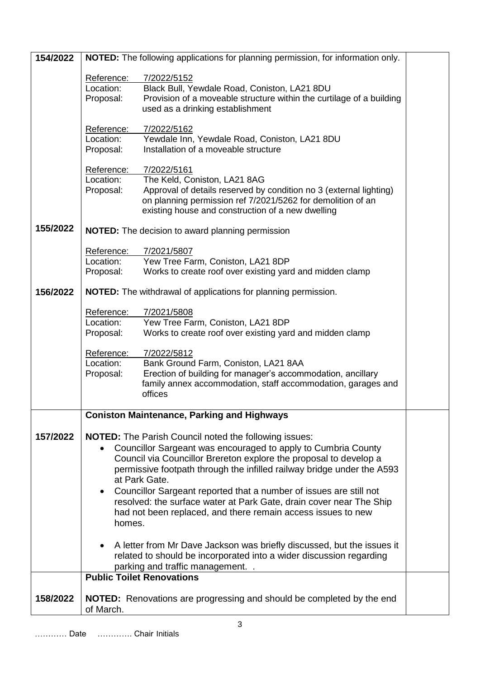| 154/2022 | NOTED: The following applications for planning permission, for information only.                                                                                                                                                                                                                                                                                                                                                                                                                                                  |                                                                                                                                                                                                                                       |  |
|----------|-----------------------------------------------------------------------------------------------------------------------------------------------------------------------------------------------------------------------------------------------------------------------------------------------------------------------------------------------------------------------------------------------------------------------------------------------------------------------------------------------------------------------------------|---------------------------------------------------------------------------------------------------------------------------------------------------------------------------------------------------------------------------------------|--|
|          | Reference:<br>Location:<br>Proposal:                                                                                                                                                                                                                                                                                                                                                                                                                                                                                              | 7/2022/5152<br>Black Bull, Yewdale Road, Coniston, LA21 8DU<br>Provision of a moveable structure within the curtilage of a building<br>used as a drinking establishment                                                               |  |
|          | Reference:<br>Location:<br>Proposal:                                                                                                                                                                                                                                                                                                                                                                                                                                                                                              | 7/2022/5162<br>Yewdale Inn, Yewdale Road, Coniston, LA21 8DU<br>Installation of a moveable structure                                                                                                                                  |  |
|          | Reference:<br>Location:<br>Proposal:                                                                                                                                                                                                                                                                                                                                                                                                                                                                                              | 7/2022/5161<br>The Keld, Coniston, LA21 8AG<br>Approval of details reserved by condition no 3 (external lighting)<br>on planning permission ref 7/2021/5262 for demolition of an<br>existing house and construction of a new dwelling |  |
| 155/2022 |                                                                                                                                                                                                                                                                                                                                                                                                                                                                                                                                   | <b>NOTED:</b> The decision to award planning permission                                                                                                                                                                               |  |
|          | Reference:<br>Location:<br>Proposal:                                                                                                                                                                                                                                                                                                                                                                                                                                                                                              | 7/2021/5807<br>Yew Tree Farm, Coniston, LA21 8DP<br>Works to create roof over existing yard and midden clamp                                                                                                                          |  |
| 156/2022 | <b>NOTED:</b> The withdrawal of applications for planning permission.                                                                                                                                                                                                                                                                                                                                                                                                                                                             |                                                                                                                                                                                                                                       |  |
|          | Reference:<br>Location:<br>Proposal:                                                                                                                                                                                                                                                                                                                                                                                                                                                                                              | 7/2021/5808<br>Yew Tree Farm, Coniston, LA21 8DP<br>Works to create roof over existing yard and midden clamp                                                                                                                          |  |
|          | Reference:<br>Location:<br>Proposal:                                                                                                                                                                                                                                                                                                                                                                                                                                                                                              | 7/2022/5812<br>Bank Ground Farm, Coniston, LA21 8AA<br>Erection of building for manager's accommodation, ancillary<br>family annex accommodation, staff accommodation, garages and<br>offices                                         |  |
|          |                                                                                                                                                                                                                                                                                                                                                                                                                                                                                                                                   | <b>Coniston Maintenance, Parking and Highways</b>                                                                                                                                                                                     |  |
| 157/2022 | <b>NOTED:</b> The Parish Council noted the following issues:<br>Councillor Sargeant was encouraged to apply to Cumbria County<br>Council via Councillor Brereton explore the proposal to develop a<br>permissive footpath through the infilled railway bridge under the A593<br>at Park Gate.<br>Councillor Sargeant reported that a number of issues are still not<br>$\bullet$<br>resolved: the surface water at Park Gate, drain cover near The Ship<br>had not been replaced, and there remain access issues to new<br>homes. |                                                                                                                                                                                                                                       |  |
|          | A letter from Mr Dave Jackson was briefly discussed, but the issues it<br>related to should be incorporated into a wider discussion regarding<br>parking and traffic management                                                                                                                                                                                                                                                                                                                                                   |                                                                                                                                                                                                                                       |  |
|          |                                                                                                                                                                                                                                                                                                                                                                                                                                                                                                                                   | <b>Public Toilet Renovations</b>                                                                                                                                                                                                      |  |
| 158/2022 | of March.                                                                                                                                                                                                                                                                                                                                                                                                                                                                                                                         | <b>NOTED:</b> Renovations are progressing and should be completed by the end                                                                                                                                                          |  |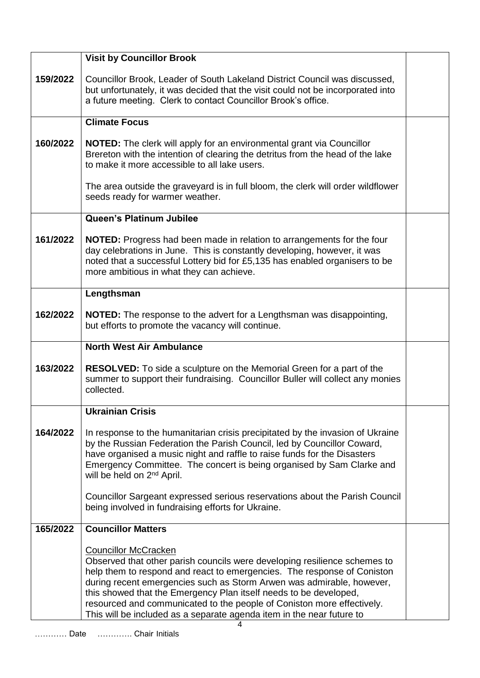|          | <b>Visit by Councillor Brook</b>                                                                                                                                                                                                                                                                                                                                                                                                                                                                       |  |
|----------|--------------------------------------------------------------------------------------------------------------------------------------------------------------------------------------------------------------------------------------------------------------------------------------------------------------------------------------------------------------------------------------------------------------------------------------------------------------------------------------------------------|--|
| 159/2022 | Councillor Brook, Leader of South Lakeland District Council was discussed,<br>but unfortunately, it was decided that the visit could not be incorporated into<br>a future meeting. Clerk to contact Councillor Brook's office.                                                                                                                                                                                                                                                                         |  |
|          | <b>Climate Focus</b>                                                                                                                                                                                                                                                                                                                                                                                                                                                                                   |  |
| 160/2022 | <b>NOTED:</b> The clerk will apply for an environmental grant via Councillor<br>Brereton with the intention of clearing the detritus from the head of the lake<br>to make it more accessible to all lake users.                                                                                                                                                                                                                                                                                        |  |
|          | The area outside the graveyard is in full bloom, the clerk will order wildflower<br>seeds ready for warmer weather.                                                                                                                                                                                                                                                                                                                                                                                    |  |
|          | Queen's Platinum Jubilee                                                                                                                                                                                                                                                                                                                                                                                                                                                                               |  |
| 161/2022 | <b>NOTED:</b> Progress had been made in relation to arrangements for the four<br>day celebrations in June. This is constantly developing, however, it was<br>noted that a successful Lottery bid for £5,135 has enabled organisers to be<br>more ambitious in what they can achieve.                                                                                                                                                                                                                   |  |
|          | Lengthsman                                                                                                                                                                                                                                                                                                                                                                                                                                                                                             |  |
| 162/2022 | <b>NOTED:</b> The response to the advert for a Lengthsman was disappointing,<br>but efforts to promote the vacancy will continue.                                                                                                                                                                                                                                                                                                                                                                      |  |
|          | <b>North West Air Ambulance</b>                                                                                                                                                                                                                                                                                                                                                                                                                                                                        |  |
| 163/2022 | <b>RESOLVED:</b> To side a sculpture on the Memorial Green for a part of the<br>summer to support their fundraising. Councillor Buller will collect any monies<br>collected.                                                                                                                                                                                                                                                                                                                           |  |
|          | <b>Ukrainian Crisis</b>                                                                                                                                                                                                                                                                                                                                                                                                                                                                                |  |
| 164/2022 | In response to the humanitarian crisis precipitated by the invasion of Ukraine<br>by the Russian Federation the Parish Council, led by Councillor Coward,<br>have organised a music night and raffle to raise funds for the Disasters<br>Emergency Committee. The concert is being organised by Sam Clarke and<br>will be held on 2 <sup>nd</sup> April.<br>Councillor Sargeant expressed serious reservations about the Parish Council                                                                |  |
|          | being involved in fundraising efforts for Ukraine.                                                                                                                                                                                                                                                                                                                                                                                                                                                     |  |
| 165/2022 | <b>Councillor Matters</b>                                                                                                                                                                                                                                                                                                                                                                                                                                                                              |  |
| Date     | <b>Councillor McCracken</b><br>Observed that other parish councils were developing resilience schemes to<br>help them to respond and react to emergencies. The response of Coniston<br>during recent emergencies such as Storm Arwen was admirable, however,<br>this showed that the Emergency Plan itself needs to be developed,<br>resourced and communicated to the people of Coniston more effectively.<br>This will be included as a separate agenda item in the near future to<br>Chair Initiale |  |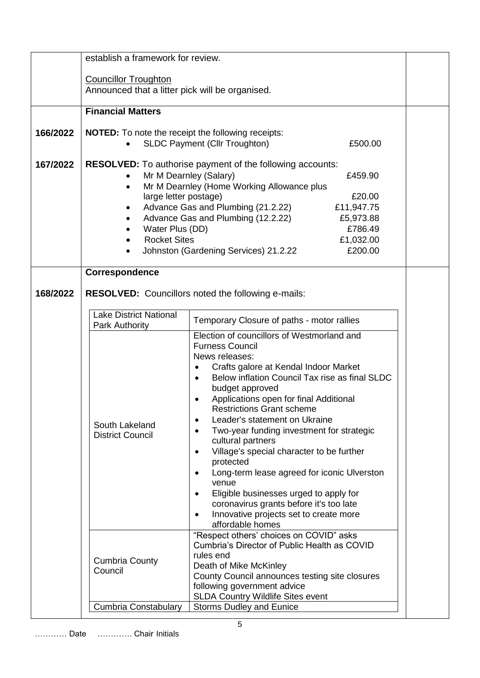|          | establish a framework for review.                                                                     |                                                                     |  |
|----------|-------------------------------------------------------------------------------------------------------|---------------------------------------------------------------------|--|
|          |                                                                                                       |                                                                     |  |
|          | <b>Councillor Troughton</b>                                                                           |                                                                     |  |
|          | Announced that a litter pick will be organised.                                                       |                                                                     |  |
|          |                                                                                                       |                                                                     |  |
|          | <b>Financial Matters</b>                                                                              |                                                                     |  |
|          |                                                                                                       |                                                                     |  |
| 166/2022 | <b>NOTED:</b> To note the receipt the following receipts:                                             |                                                                     |  |
|          |                                                                                                       | <b>SLDC Payment (Cllr Troughton)</b><br>£500.00                     |  |
| 167/2022 |                                                                                                       |                                                                     |  |
|          | <b>RESOLVED:</b> To authorise payment of the following accounts:<br>Mr M Dearnley (Salary)<br>£459.90 |                                                                     |  |
|          | $\bullet$                                                                                             | Mr M Dearnley (Home Working Allowance plus                          |  |
|          | large letter postage)                                                                                 | £20.00                                                              |  |
|          | $\bullet$                                                                                             | Advance Gas and Plumbing (21.2.22)<br>£11,947.75                    |  |
|          | $\bullet$                                                                                             | Advance Gas and Plumbing (12.2.22)<br>£5,973.88                     |  |
|          | Water Plus (DD)                                                                                       | £786.49                                                             |  |
|          | <b>Rocket Sites</b>                                                                                   | £1,032.00                                                           |  |
|          |                                                                                                       | Johnston (Gardening Services) 21.2.22<br>£200.00                    |  |
|          |                                                                                                       |                                                                     |  |
|          | Correspondence                                                                                        |                                                                     |  |
|          |                                                                                                       |                                                                     |  |
| 168/2022 |                                                                                                       | <b>RESOLVED:</b> Councillors noted the following e-mails:           |  |
|          |                                                                                                       |                                                                     |  |
|          | <b>Lake District National</b>                                                                         | Temporary Closure of paths - motor rallies                          |  |
|          | Park Authority                                                                                        | Election of councillors of Westmorland and                          |  |
|          |                                                                                                       | <b>Furness Council</b>                                              |  |
|          |                                                                                                       | News releases:                                                      |  |
|          |                                                                                                       | Crafts galore at Kendal Indoor Market<br>$\bullet$                  |  |
|          |                                                                                                       | Below inflation Council Tax rise as final SLDC<br>$\bullet$         |  |
|          |                                                                                                       | budget approved                                                     |  |
|          |                                                                                                       | Applications open for final Additional                              |  |
|          |                                                                                                       | <b>Restrictions Grant scheme</b>                                    |  |
|          | South Lakeland                                                                                        | Leader's statement on Ukraine<br>$\bullet$                          |  |
|          | <b>District Council</b>                                                                               | Two-year funding investment for strategic<br>$\bullet$              |  |
|          |                                                                                                       | cultural partners                                                   |  |
|          |                                                                                                       | Village's special character to be further<br>$\bullet$<br>protected |  |
|          |                                                                                                       | Long-term lease agreed for iconic Ulverston<br>٠                    |  |
|          |                                                                                                       | venue                                                               |  |
|          |                                                                                                       | Eligible businesses urged to apply for<br>$\bullet$                 |  |
|          |                                                                                                       | coronavirus grants before it's too late                             |  |
|          |                                                                                                       | Innovative projects set to create more                              |  |
|          |                                                                                                       | affordable homes                                                    |  |
|          |                                                                                                       | "Respect others' choices on COVID" asks                             |  |
|          |                                                                                                       | Cumbria's Director of Public Health as COVID                        |  |
|          | <b>Cumbria County</b>                                                                                 | rules end<br>Death of Mike McKinley                                 |  |
|          | Council                                                                                               | County Council announces testing site closures                      |  |
|          |                                                                                                       | following government advice                                         |  |
|          |                                                                                                       | <b>SLDA Country Wildlife Sites event</b>                            |  |
|          | Cumbria Constabulary                                                                                  | <b>Storms Dudley and Eunice</b>                                     |  |
|          |                                                                                                       |                                                                     |  |